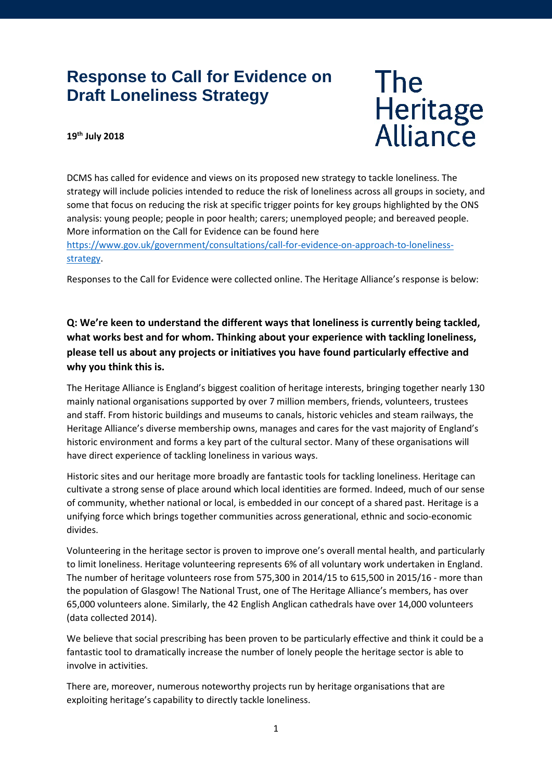# **Response to Call for Evidence on Draft Loneliness Strategy**

# **The** Heritage<br>Alliance

#### **19th July 2018**

DCMS has called for evidence and views on its proposed new strategy to tackle loneliness. The strategy will include policies intended to reduce the risk of loneliness across all groups in society, and some that focus on reducing the risk at specific trigger points for key groups highlighted by the ONS analysis: young people; people in poor health; carers; unemployed people; and bereaved people. More information on the Call for Evidence can be found here [https://www.gov.uk/government/consultations/call-for-evidence-on-approach-to-loneliness](https://www.gov.uk/government/consultations/call-for-evidence-on-approach-to-loneliness-strategy)[strategy.](https://www.gov.uk/government/consultations/call-for-evidence-on-approach-to-loneliness-strategy)

Responses to the Call for Evidence were collected online. The Heritage Alliance's response is below:

**Q: We're keen to understand the different ways that loneliness is currently being tackled, what works best and for whom. Thinking about your experience with tackling loneliness, please tell us about any projects or initiatives you have found particularly effective and why you think this is.** 

The Heritage Alliance is England's biggest coalition of heritage interests, bringing together nearly 130 mainly national organisations supported by over 7 million members, friends, volunteers, trustees and staff. From historic buildings and museums to canals, historic vehicles and steam railways, the Heritage Alliance's diverse membership owns, manages and cares for the vast majority of England's historic environment and forms a key part of the cultural sector. Many of these organisations will have direct experience of tackling loneliness in various ways.

Historic sites and our heritage more broadly are fantastic tools for tackling loneliness. Heritage can cultivate a strong sense of place around which local identities are formed. Indeed, much of our sense of community, whether national or local, is embedded in our concept of a shared past. Heritage is a unifying force which brings together communities across generational, ethnic and socio-economic divides.

Volunteering in the heritage sector is proven to improve one's overall mental health, and particularly to limit loneliness. Heritage volunteering represents 6% of all voluntary work undertaken in England. The number of heritage volunteers rose from 575,300 in 2014/15 to 615,500 in 2015/16 - more than the population of Glasgow! The National Trust, one of The Heritage Alliance's members, has over 65,000 volunteers alone. Similarly, the 42 English Anglican cathedrals have over 14,000 volunteers (data collected 2014).

We believe that social prescribing has been proven to be particularly effective and think it could be a fantastic tool to dramatically increase the number of lonely people the heritage sector is able to involve in activities.

There are, moreover, numerous noteworthy projects run by heritage organisations that are exploiting heritage's capability to directly tackle loneliness.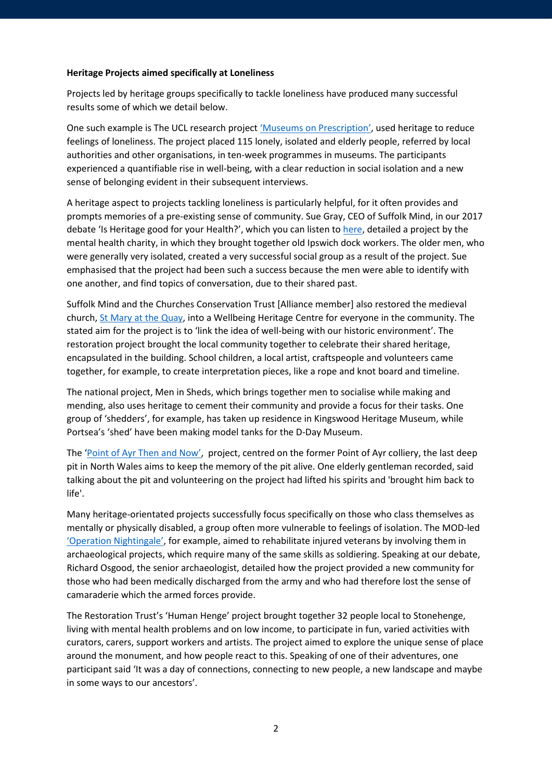#### **Heritage Projects aimed specifically at Loneliness**

Projects led by heritage groups specifically to tackle loneliness have produced many successful results some of which we detail below.

One such example is The UCL research projec[t 'Museums on Prescription',](https://culturehealthresearch.files.wordpress.com/2017/10/mopguide.pdf) used heritage to reduce feelings of loneliness. The project placed 115 lonely, isolated and elderly people, referred by local authorities and other organisations, in ten-week programmes in museums. The participants experienced a quantifiable rise in well-being, with a clear reduction in social isolation and a new sense of belonging evident in their subsequent interviews.

A heritage aspect to projects tackling loneliness is particularly helpful, for it often provides and prompts memories of a pre-existing sense of community. Sue Gray, CEO of Suffolk Mind, in our 2017 debate 'Is Heritage good for your Health?', which you can listen to [here,](https://www.youtube.com/watch?v=Xhl5Ni4dRZg&t=158s) detailed a project by the mental health charity, in which they brought together old Ipswich dock workers. The older men, who were generally very isolated, created a very successful social group as a result of the project. Sue emphasised that the project had been such a success because the men were able to identify with one another, and find topics of conversation, due to their shared past.

Suffolk Mind and the Churches Conservation Trust [Alliance member] also restored the medieval church[, St Mary at the Quay,](http://quayplace.co.uk/) into a Wellbeing Heritage Centre for everyone in the community. The stated aim for the project is to 'link the idea of well-being with our historic environment'. The restoration project brought the local community together to celebrate their shared heritage, encapsulated in the building. School children, a local artist, craftspeople and volunteers came together, for example, to create interpretation pieces, like a rope and knot board and timeline.

The national project, Men in Sheds, which brings together men to socialise while making and mending, also uses heritage to cement their community and provide a focus for their tasks. One group of 'shedders', for example, has taken up residence in Kingswood Heritage Museum, while Portsea's 'shed' have been making model tanks for the D-Day Museum.

The ['Point of Ayr Then](https://www.newalesheritageforum.org.uk/en/blog-en/point-of-ayr-then-and-now/) and Now', project, centred on the former Point of Ayr colliery, the last deep pit in North Wales aims to keep the memory of the pit alive. One elderly gentleman recorded, said talking about the pit and volunteering on the project had lifted his spirits and 'brought him back to life'.

Many heritage-orientated projects successfully focus specifically on those who class themselves as mentally or physically disabled, a group often more vulnerable to feelings of isolation. The MOD-led ['Operation Nightingale',](http://www.breakinggroundheritage.org.uk/operation-nightingale) for example, aimed to rehabilitate injured veterans by involving them in archaeological projects, which require many of the same skills as soldiering. Speaking at our debate, Richard Osgood, the senior archaeologist, detailed how the project provided a new community for those who had been medically discharged from the army and who had therefore lost the sense of camaraderie which the armed forces provide.

The Restoration Trust's 'Human Henge' project brought together 32 people local to Stonehenge, living with mental health problems and on low income, to participate in fun, varied activities with curators, carers, support workers and artists. The project aimed to explore the unique sense of place around the monument, and how people react to this. Speaking of one of their adventures, one participant said 'It was a day of connections, connecting to new people, a new landscape and maybe in some ways to our ancestors'.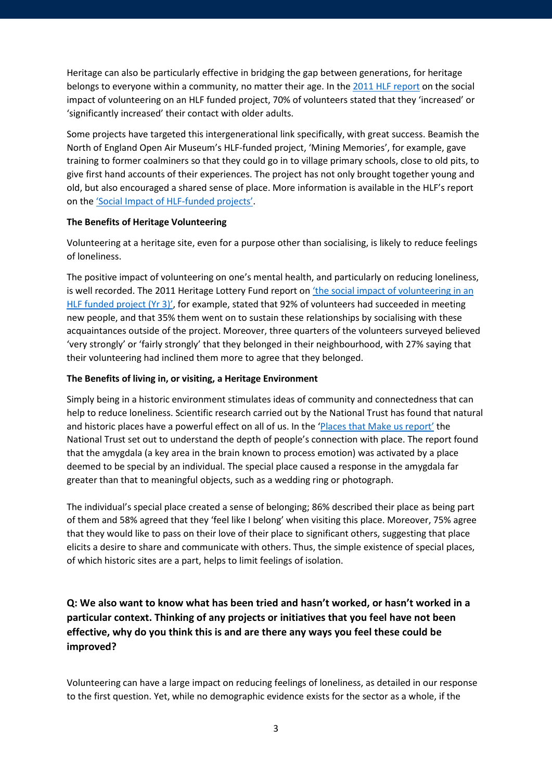Heritage can also be particularly effective in bridging the gap between generations, for heritage belongs to everyone within a community, no matter their age. In th[e 2011 HLF report](https://www.hlf.org.uk/social-benefits-involvement-heritage-projects) on the social impact of volunteering on an HLF funded project, 70% of volunteers stated that they 'increased' or 'significantly increased' their contact with older adults.

Some projects have targeted this intergenerational link specifically, with great success. Beamish the North of England Open Air Museum's HLF-funded project, 'Mining Memories', for example, gave training to former coalminers so that they could go in to village primary schools, close to old pits, to give first hand accounts of their experiences. The project has not only brought together young and old, but also encouraged a shared sense of place. More information is available in the HLF's report on th[e 'Social Impact of HLF-funded projects'.](https://www.hlf.org.uk/social-benefits-involvement-heritage-projects)

#### **The Benefits of Heritage Volunteering**

Volunteering at a heritage site, even for a purpose other than socialising, is likely to reduce feelings of loneliness.

The positive impact of volunteering on one's mental health, and particularly on reducing loneliness, is well recorded. The 2011 Heritage Lottery Fund report on 'the social impact of volunteering in an [HLF funded project \(Yr 3\)',](https://www.hlf.org.uk/social-benefits-involvement-heritage-projects) for example, stated that 92% of volunteers had succeeded in meeting new people, and that 35% them went on to sustain these relationships by socialising with these acquaintances outside of the project. Moreover, three quarters of the volunteers surveyed believed 'very strongly' or 'fairly strongly' that they belonged in their neighbourhood, with 27% saying that their volunteering had inclined them more to agree that they belonged.

#### **The Benefits of living in, or visiting, a Heritage Environment**

Simply being in a historic environment stimulates ideas of community and connectedness that can help to reduce loneliness. Scientific research carried out by the National Trust has found that natural and historic places have a powerful effect on all of us. In the ['Places that Make us report'](https://www.nationaltrust.org.uk/documents/places-that-make-us-research-report.pdf) the National Trust set out to understand the depth of people's connection with place. The report found that the amygdala (a key area in the brain known to process emotion) was activated by a place deemed to be special by an individual. The special place caused a response in the amygdala far greater than that to meaningful objects, such as a wedding ring or photograph.

The individual's special place created a sense of belonging; 86% described their place as being part of them and 58% agreed that they 'feel like I belong' when visiting this place. Moreover, 75% agree that they would like to pass on their love of their place to significant others, suggesting that place elicits a desire to share and communicate with others. Thus, the simple existence of special places, of which historic sites are a part, helps to limit feelings of isolation.

**Q: We also want to know what has been tried and hasn't worked, or hasn't worked in a particular context. Thinking of any projects or initiatives that you feel have not been effective, why do you think this is and are there any ways you feel these could be improved?**

Volunteering can have a large impact on reducing feelings of loneliness, as detailed in our response to the first question. Yet, while no demographic evidence exists for the sector as a whole, if the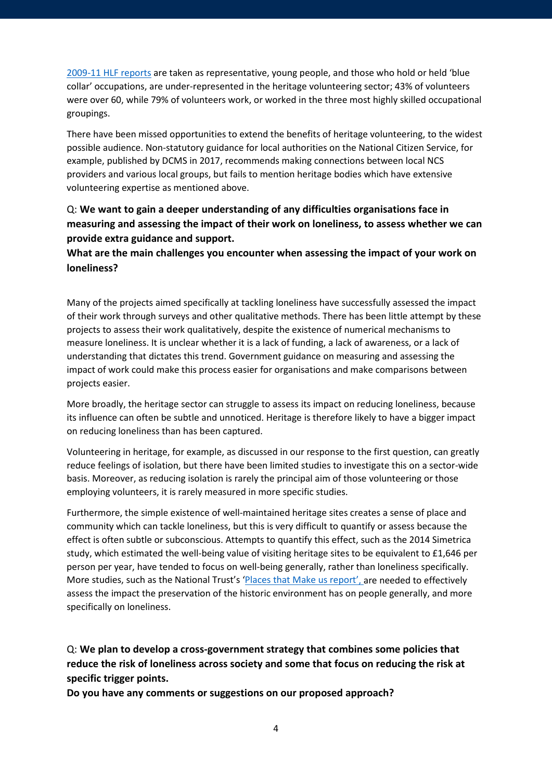[2009-11 HLF reports](https://www.hlf.org.uk/social-benefits-involvement-heritage-projects) are taken as representative, young people, and those who hold or held 'blue collar' occupations, are under-represented in the heritage volunteering sector; 43% of volunteers were over 60, while 79% of volunteers work, or worked in the three most highly skilled occupational groupings.

There have been missed opportunities to extend the benefits of heritage volunteering, to the widest possible audience. Non-statutory guidance for local authorities on the National Citizen Service, for example, published by DCMS in 2017, recommends making connections between local NCS providers and various local groups, but fails to mention heritage bodies which have extensive volunteering expertise as mentioned above.

## Q: **We want to gain a deeper understanding of any difficulties organisations face in measuring and assessing the impact of their work on loneliness, to assess whether we can provide extra guidance and support.**

### **What are the main challenges you encounter when assessing the impact of your work on loneliness?**

Many of the projects aimed specifically at tackling loneliness have successfully assessed the impact of their work through surveys and other qualitative methods. There has been little attempt by these projects to assess their work qualitatively, despite the existence of numerical mechanisms to measure loneliness. It is unclear whether it is a lack of funding, a lack of awareness, or a lack of understanding that dictates this trend. Government guidance on measuring and assessing the impact of work could make this process easier for organisations and make comparisons between projects easier.

More broadly, the heritage sector can struggle to assess its impact on reducing loneliness, because its influence can often be subtle and unnoticed. Heritage is therefore likely to have a bigger impact on reducing loneliness than has been captured.

Volunteering in heritage, for example, as discussed in our response to the first question, can greatly reduce feelings of isolation, but there have been limited studies to investigate this on a sector-wide basis. Moreover, as reducing isolation is rarely the principal aim of those volunteering or those employing volunteers, it is rarely measured in more specific studies.

Furthermore, the simple existence of well-maintained heritage sites creates a sense of place and community which can tackle loneliness, but this is very difficult to quantify or assess because the effect is often subtle or subconscious. Attempts to quantify this effect, such as the 2014 Simetrica study, which estimated the well-being value of visiting heritage sites to be equivalent to £1,646 per person per year, have tended to focus on well-being generally, rather than loneliness specifically. More studies, such as the National Trust's ['Places that Make us report',](https://www.nationaltrust.org.uk/documents/places-that-make-us-research-report.pdf) are needed to effectively assess the impact the preservation of the historic environment has on people generally, and more specifically on loneliness.

Q: **We plan to develop a cross-government strategy that combines some policies that reduce the risk of loneliness across society and some that focus on reducing the risk at specific trigger points.** 

**Do you have any comments or suggestions on our proposed approach?**